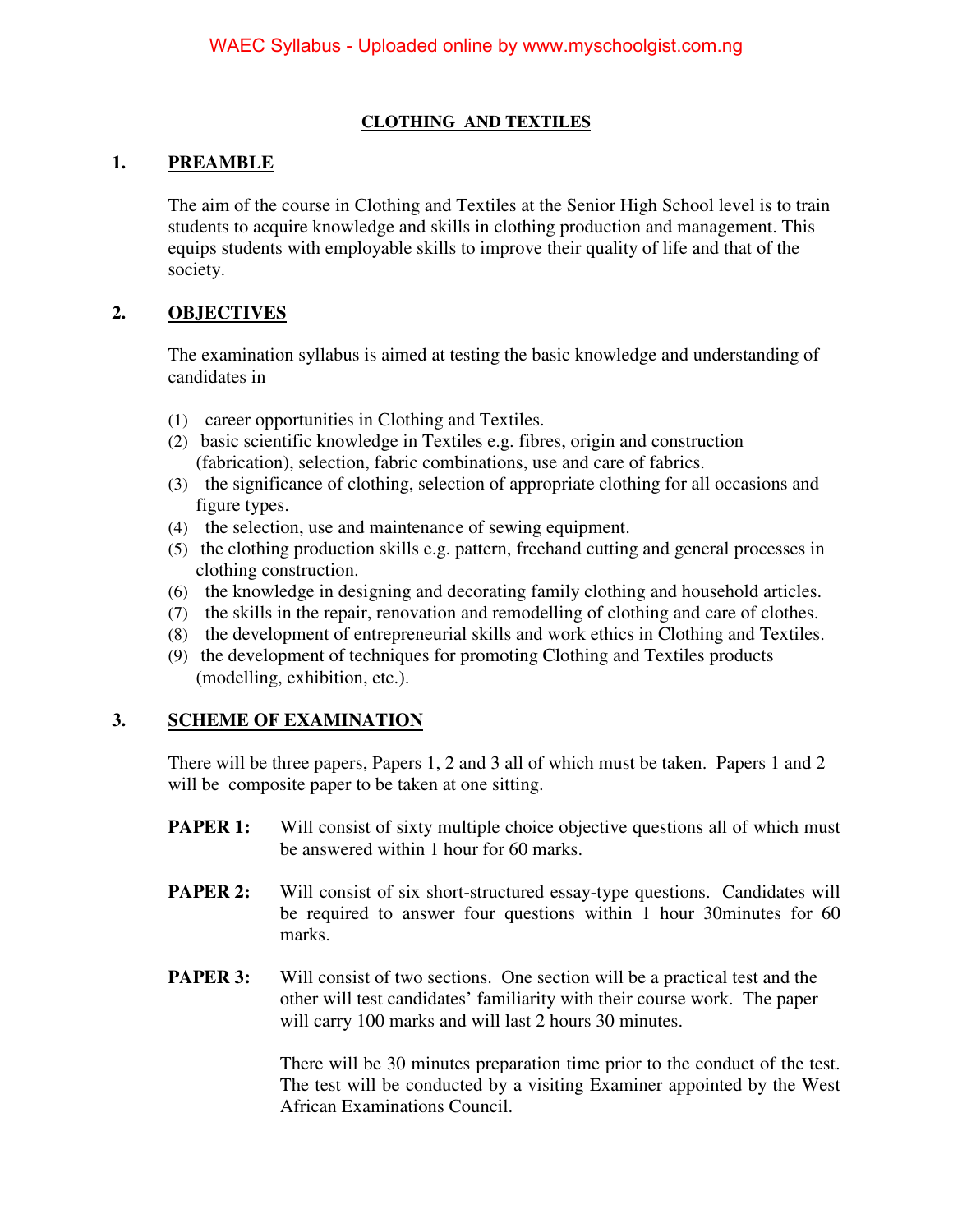#### **CLOTHING AND TEXTILES**

#### **1. PREAMBLE**

The aim of the course in Clothing and Textiles at the Senior High School level is to train students to acquire knowledge and skills in clothing production and management. This equips students with employable skills to improve their quality of life and that of the society.

### **2. OBJECTIVES**

The examination syllabus is aimed at testing the basic knowledge and understanding of candidates in

- (1) career opportunities in Clothing and Textiles.
- (2) basic scientific knowledge in Textiles e.g. fibres, origin and construction (fabrication), selection, fabric combinations, use and care of fabrics.
- (3) the significance of clothing, selection of appropriate clothing for all occasions and figure types.
- (4) the selection, use and maintenance of sewing equipment.
- (5) the clothing production skills e.g. pattern, freehand cutting and general processes in clothing construction.
- (6) the knowledge in designing and decorating family clothing and household articles.
- (7) the skills in the repair, renovation and remodelling of clothing and care of clothes.
- (8) the development of entrepreneurial skills and work ethics in Clothing and Textiles.
- (9) the development of techniques for promoting Clothing and Textiles products (modelling, exhibition, etc.).

#### **3. SCHEME OF EXAMINATION**

 There will be three papers, Papers 1, 2 and 3 all of which must be taken. Papers 1 and 2 will be composite paper to be taken at one sitting.

- **PAPER 1:** Will consist of sixty multiple choice objective questions all of which must be answered within 1 hour for 60 marks.
- **PAPER 2:** Will consist of six short-structured essay-type questions. Candidates will be required to answer four questions within 1 hour 30minutes for 60 marks.
- **PAPER 3:** Will consist of two sections. One section will be a practical test and the other will test candidates' familiarity with their course work. The paper will carry 100 marks and will last 2 hours 30 minutes.

There will be 30 minutes preparation time prior to the conduct of the test. The test will be conducted by a visiting Examiner appointed by the West African Examinations Council.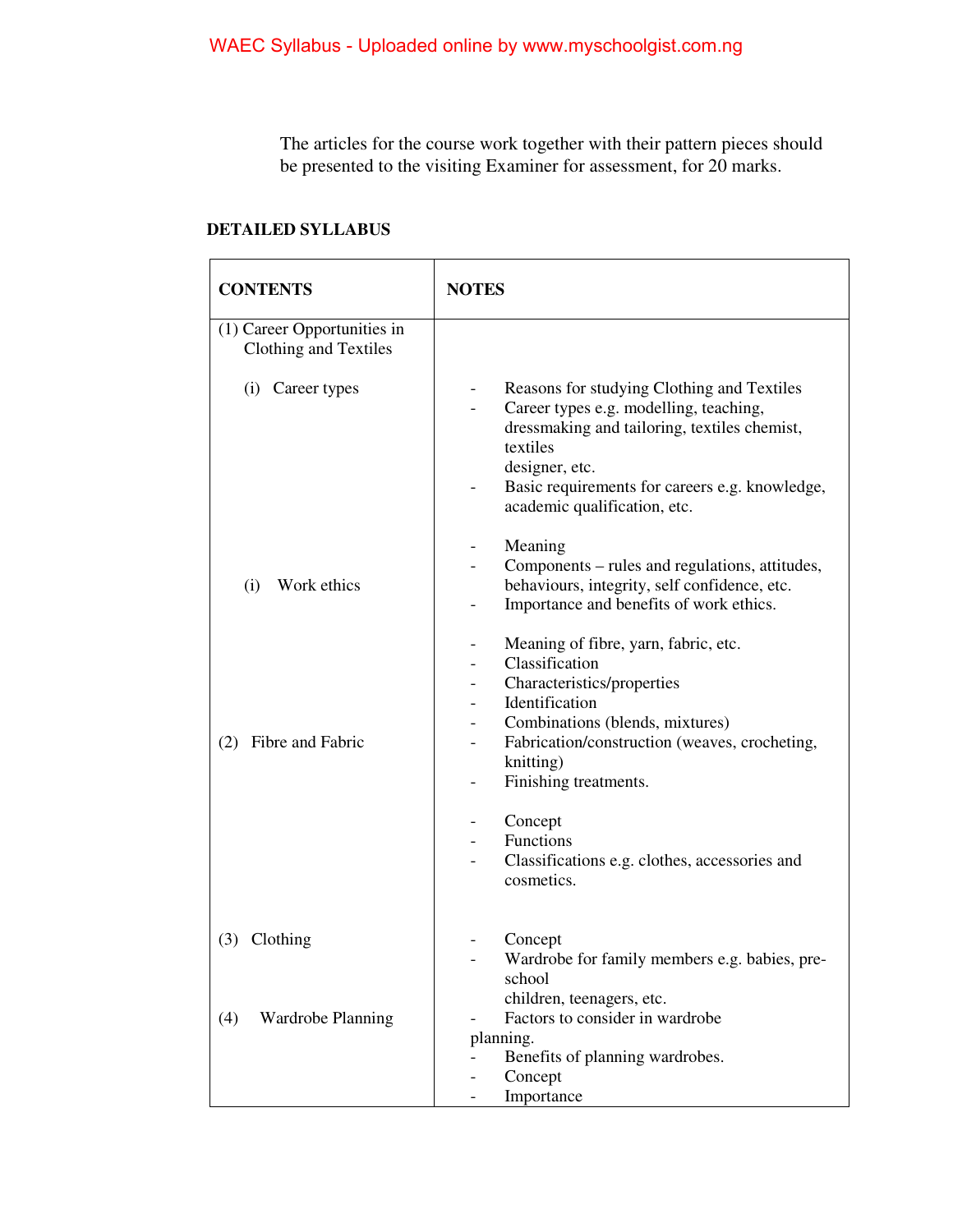The articles for the course work together with their pattern pieces should be presented to the visiting Examiner for assessment, for 20 marks.

#### **DETAILED SYLLABUS**

| <b>CONTENTS</b>                                      | <b>NOTES</b>                                                                                                                                                                                                                                         |
|------------------------------------------------------|------------------------------------------------------------------------------------------------------------------------------------------------------------------------------------------------------------------------------------------------------|
| (1) Career Opportunities in<br>Clothing and Textiles |                                                                                                                                                                                                                                                      |
| (i) Career types                                     | Reasons for studying Clothing and Textiles<br>Career types e.g. modelling, teaching,<br>dressmaking and tailoring, textiles chemist,<br>textiles<br>designer, etc.<br>Basic requirements for careers e.g. knowledge,<br>academic qualification, etc. |
| Work ethics<br>(i)                                   | Meaning<br>Components - rules and regulations, attitudes,<br>behaviours, integrity, self confidence, etc.<br>Importance and benefits of work ethics.                                                                                                 |
| Fibre and Fabric<br>(2)                              | Meaning of fibre, yarn, fabric, etc.<br>Classification<br>Characteristics/properties<br>Identification<br>Combinations (blends, mixtures)<br>Fabrication/construction (weaves, crocheting,<br>knitting)<br>Finishing treatments.                     |
|                                                      | Concept<br>Functions<br>Classifications e.g. clothes, accessories and<br>cosmetics.                                                                                                                                                                  |
| Clothing<br>(3)                                      | Concept<br>Wardrobe for family members e.g. babies, pre-<br>school                                                                                                                                                                                   |
| <b>Wardrobe Planning</b><br>(4)                      | children, teenagers, etc.<br>Factors to consider in wardrobe<br>planning.<br>Benefits of planning wardrobes.<br>Concept<br>Importance                                                                                                                |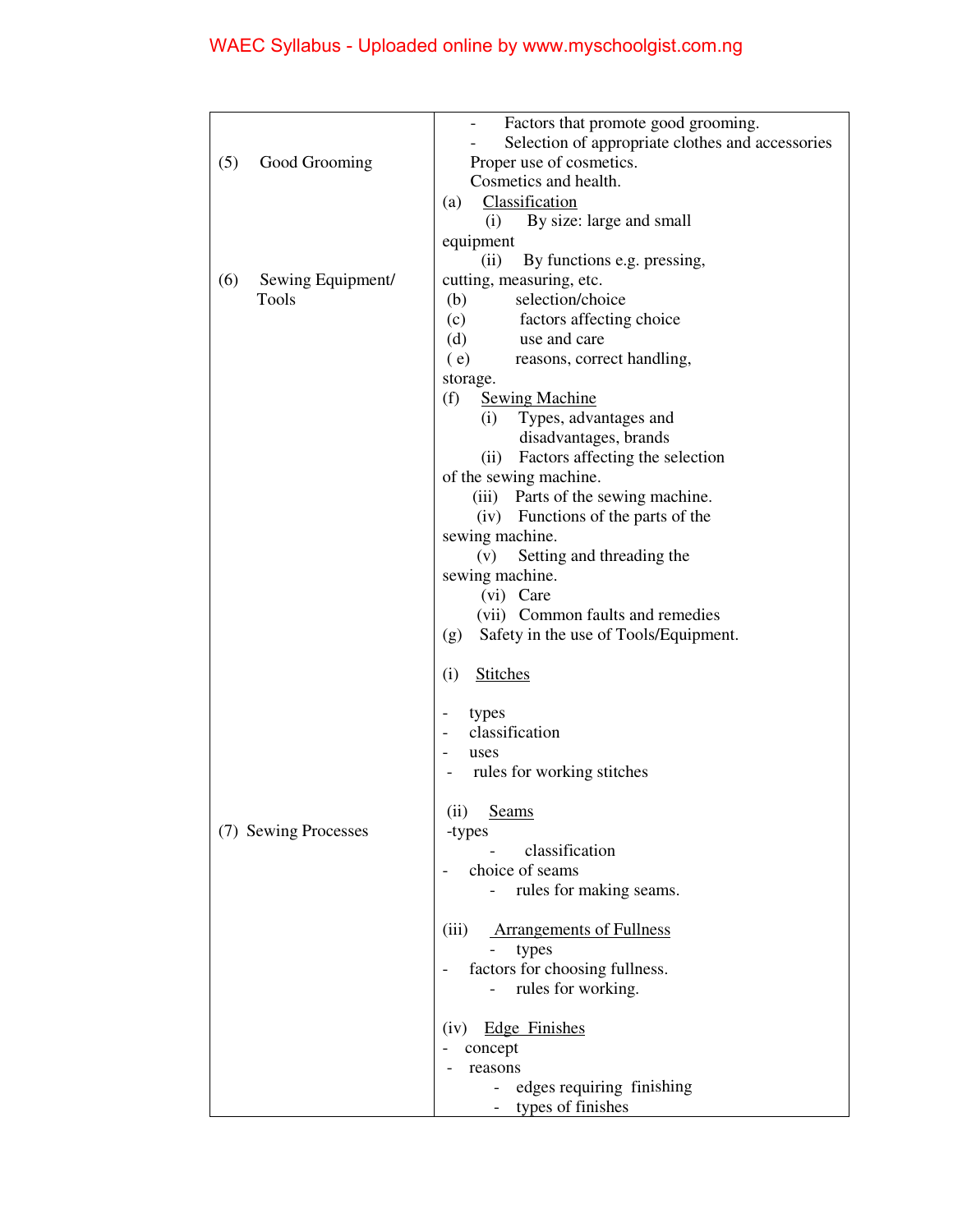# WAEC Syllabus - Uploaded online by www.myschoolgist.com.ng

| Selection of appropriate clothes and accessories |
|--------------------------------------------------|
|                                                  |
|                                                  |
|                                                  |
|                                                  |
|                                                  |
|                                                  |
|                                                  |
|                                                  |
|                                                  |
|                                                  |
|                                                  |
|                                                  |
|                                                  |
|                                                  |
|                                                  |
|                                                  |
|                                                  |
|                                                  |
|                                                  |
|                                                  |
|                                                  |
|                                                  |
|                                                  |
|                                                  |
|                                                  |
|                                                  |
|                                                  |
|                                                  |
|                                                  |
|                                                  |
|                                                  |
|                                                  |
|                                                  |
|                                                  |
|                                                  |
|                                                  |
|                                                  |
|                                                  |
|                                                  |
|                                                  |
|                                                  |
|                                                  |
|                                                  |
|                                                  |
|                                                  |
|                                                  |
|                                                  |
|                                                  |
|                                                  |
|                                                  |
|                                                  |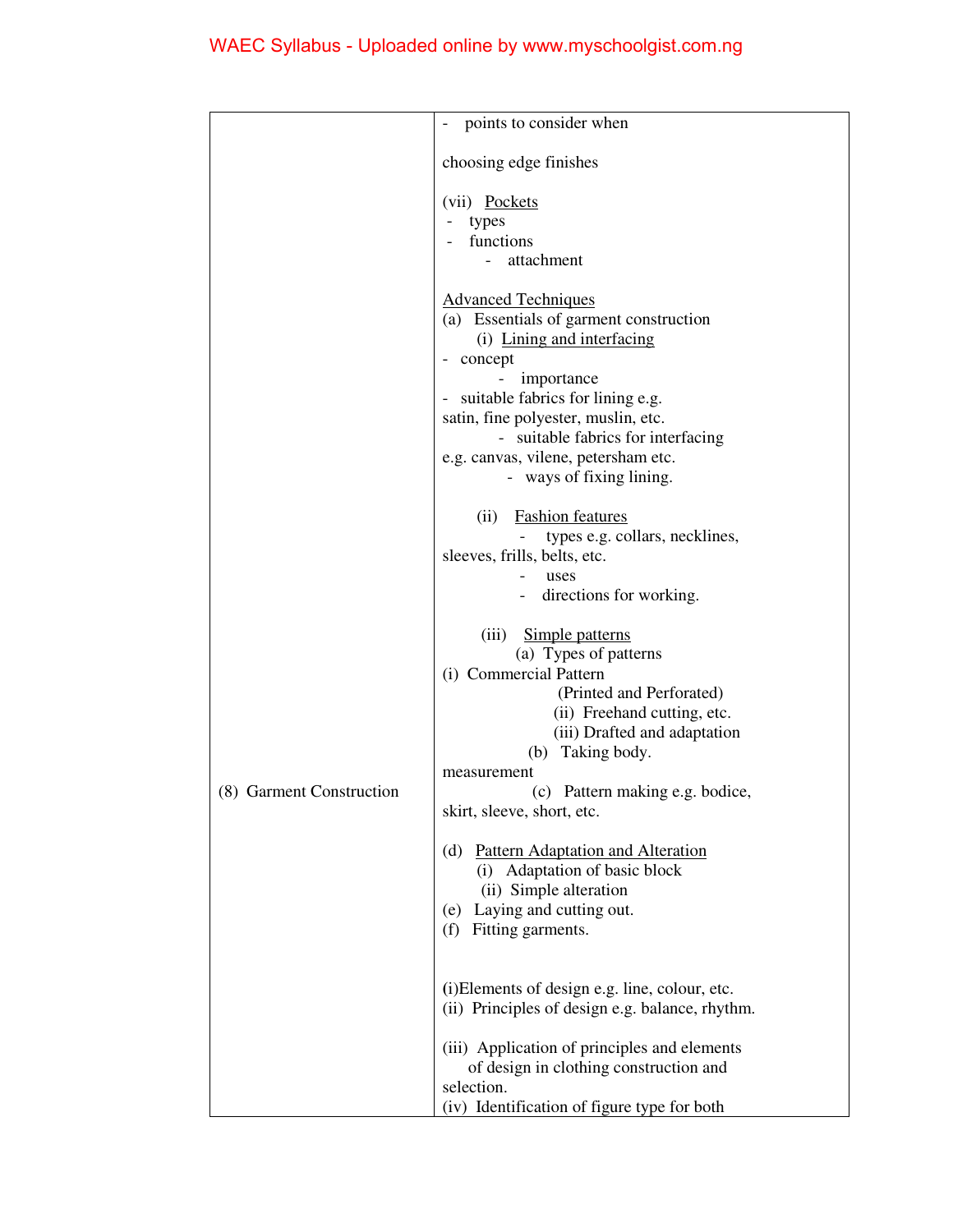|                          | points to consider when                                                                                                                                                                                                                                                                 |
|--------------------------|-----------------------------------------------------------------------------------------------------------------------------------------------------------------------------------------------------------------------------------------------------------------------------------------|
|                          | choosing edge finishes                                                                                                                                                                                                                                                                  |
|                          | (vii) Pockets<br>types<br>functions<br>attachment                                                                                                                                                                                                                                       |
|                          | <b>Advanced Techniques</b><br>(a) Essentials of garment construction<br>(i) Lining and interfacing<br>- concept<br>importance<br>- suitable fabrics for lining e.g.<br>satin, fine polyester, muslin, etc.<br>- suitable fabrics for interfacing<br>e.g. canvas, vilene, petersham etc. |
|                          | - ways of fixing lining.<br><b>Fashion</b> features<br>(ii)<br>types e.g. collars, necklines,<br>sleeves, frills, belts, etc.<br>uses<br>directions for working.                                                                                                                        |
| (8) Garment Construction | Simple patterns<br>(iii)<br>(a) Types of patterns<br>(i) Commercial Pattern<br>(Printed and Perforated)<br>(ii) Freehand cutting, etc.<br>(iii) Drafted and adaptation<br>(b) Taking body.<br>measurement<br>(c) Pattern making e.g. bodice,                                            |
|                          | skirt, sleeve, short, etc.<br>(d) Pattern Adaptation and Alteration<br>(i) Adaptation of basic block<br>(ii) Simple alteration<br>(e) Laying and cutting out.<br>(f)<br>Fitting garments.                                                                                               |
|                          | (i) Elements of design e.g. line, colour, etc.<br>(ii) Principles of design e.g. balance, rhythm.<br>(iii) Application of principles and elements<br>of design in clothing construction and<br>selection.<br>(iv) Identification of figure type for both                                |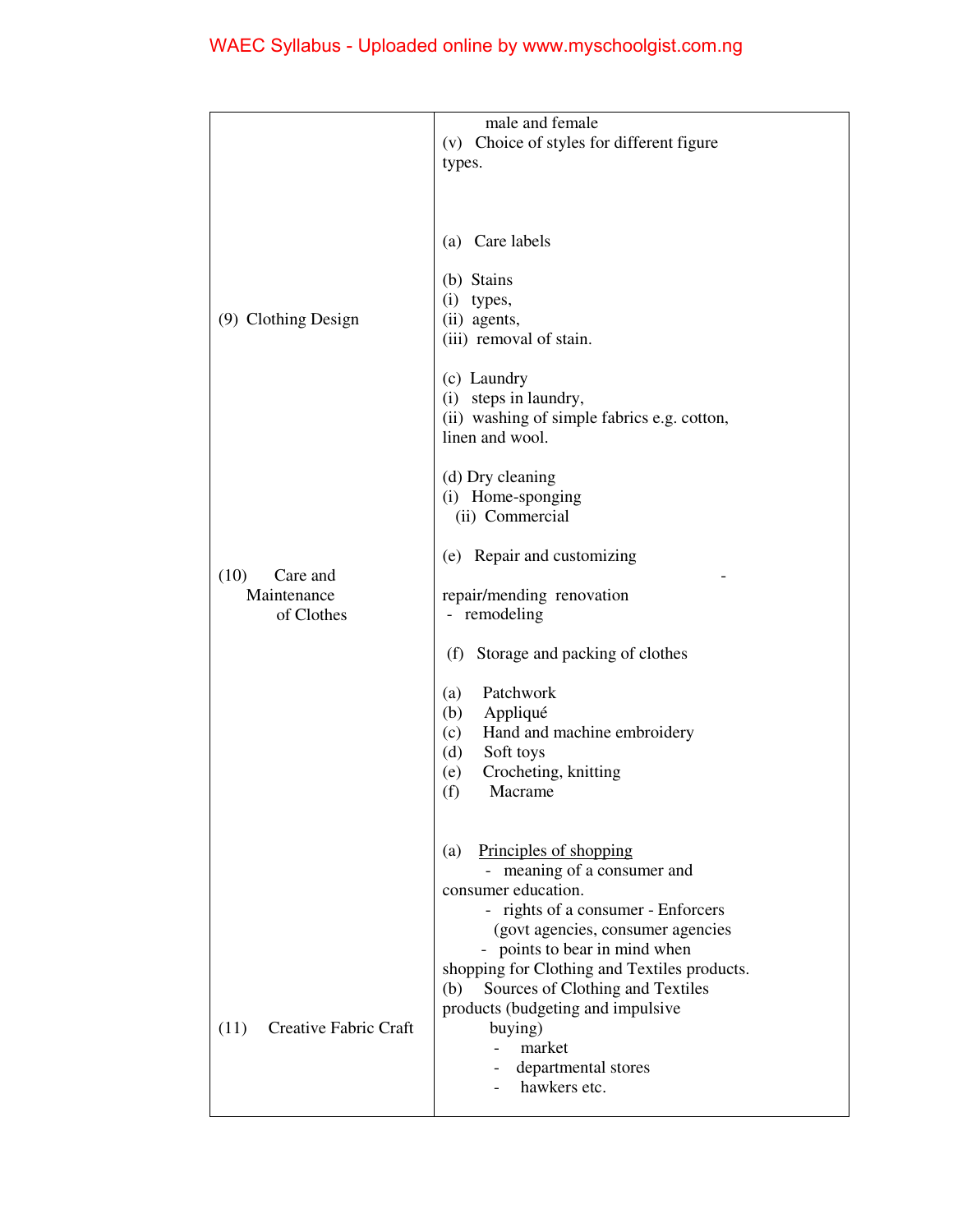|                               | male and female                              |
|-------------------------------|----------------------------------------------|
|                               | (v) Choice of styles for different figure    |
|                               | types.                                       |
|                               |                                              |
|                               |                                              |
|                               |                                              |
|                               | (a) Care labels                              |
|                               |                                              |
|                               | (b) Stains<br>$(i)$ types,                   |
| (9) Clothing Design           | (ii) agents,                                 |
|                               | (iii) removal of stain.                      |
|                               |                                              |
|                               | (c) Laundry                                  |
|                               | (i) steps in laundry,                        |
|                               | (ii) washing of simple fabrics e.g. cotton,  |
|                               | linen and wool.                              |
|                               |                                              |
|                               | (d) Dry cleaning                             |
|                               | (i) Home-sponging<br>(ii) Commercial         |
|                               |                                              |
|                               | (e) Repair and customizing                   |
| (10)<br>Care and              |                                              |
| Maintenance                   | repair/mending renovation                    |
| of Clothes                    | - remodeling                                 |
|                               |                                              |
|                               | (f)<br>Storage and packing of clothes        |
|                               | Patchwork<br>(a)                             |
|                               | (b)<br>Appliqué                              |
|                               | Hand and machine embroidery<br>(c)           |
|                               | (d)<br>Soft toys                             |
|                               | Crocheting, knitting<br>(e)                  |
|                               | (f)<br>Macrame                               |
|                               |                                              |
|                               | (a) Principles of shopping                   |
|                               | - meaning of a consumer and                  |
|                               | consumer education.                          |
|                               | - rights of a consumer - Enforcers           |
|                               | (govt agencies, consumer agencies            |
|                               | - points to bear in mind when                |
|                               | shopping for Clothing and Textiles products. |
|                               | Sources of Clothing and Textiles<br>(b)      |
|                               | products (budgeting and impulsive            |
| Creative Fabric Craft<br>(11) | buying)                                      |
|                               | market                                       |
|                               | departmental stores<br>hawkers etc.          |
|                               |                                              |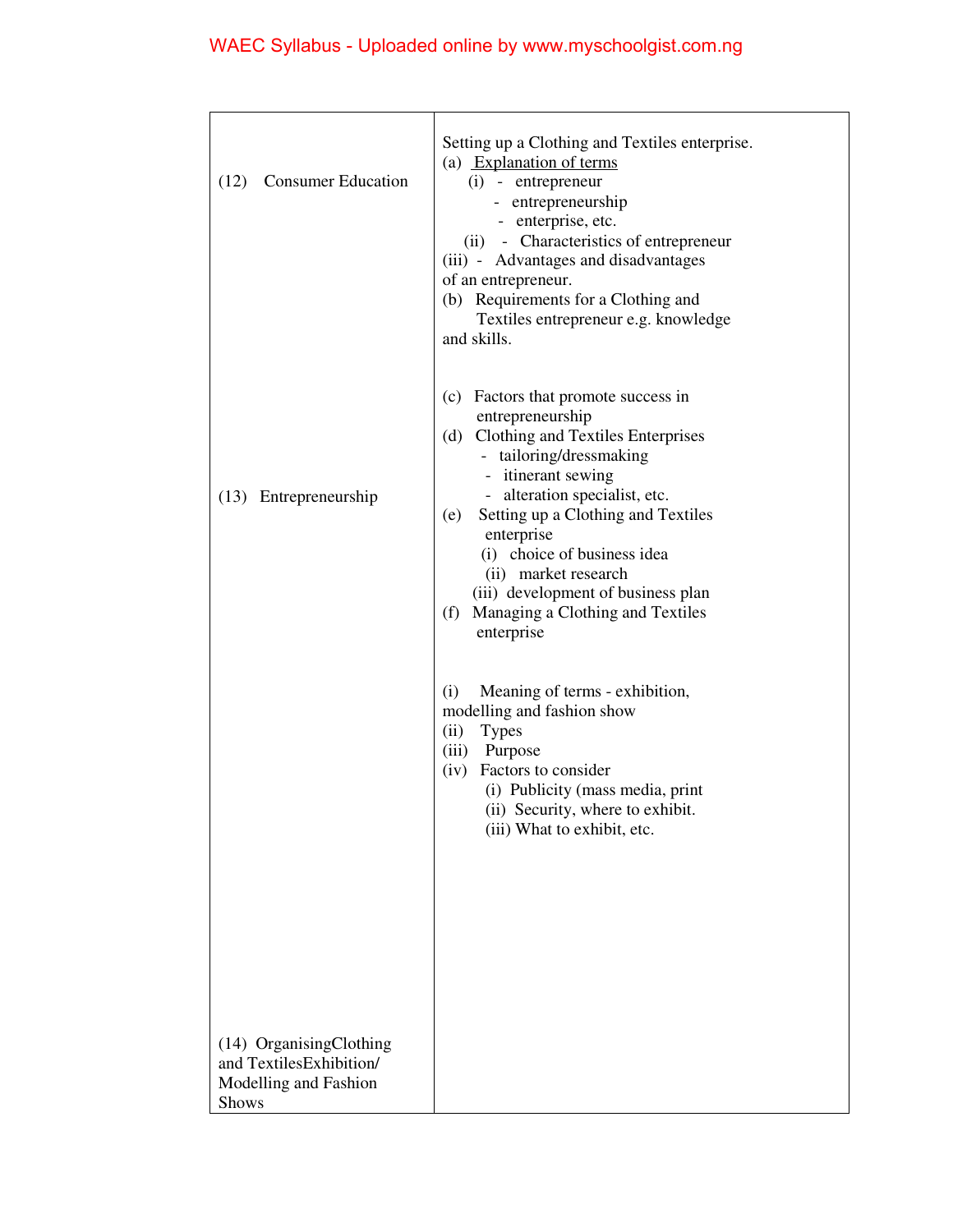# WAEC Syllabus - Uploaded online by www.myschoolgist.com.ng

| <b>Consumer Education</b><br>(12)                                                           | Setting up a Clothing and Textiles enterprise.<br>(a) Explanation of terms<br>$(i)$ - entrepreneur<br>- entrepreneurship<br>- enterprise, etc.<br>(ii) - Characteristics of entrepreneur<br>(iii) - Advantages and disadvantages<br>of an entrepreneur.<br>(b) Requirements for a Clothing and<br>Textiles entrepreneur e.g. knowledge<br>and skills.                                               |
|---------------------------------------------------------------------------------------------|-----------------------------------------------------------------------------------------------------------------------------------------------------------------------------------------------------------------------------------------------------------------------------------------------------------------------------------------------------------------------------------------------------|
| (13) Entrepreneurship                                                                       | (c) Factors that promote success in<br>entrepreneurship<br>(d) Clothing and Textiles Enterprises<br>- tailoring/dressmaking<br>- itinerant sewing<br>- alteration specialist, etc.<br>Setting up a Clothing and Textiles<br>(e)<br>enterprise<br>(i) choice of business idea<br>(ii) market research<br>(iii) development of business plan<br>Managing a Clothing and Textiles<br>(f)<br>enterprise |
|                                                                                             | (i)<br>Meaning of terms - exhibition,<br>modelling and fashion show<br>(ii)<br><b>Types</b><br>Purpose<br>(iii)<br>Factors to consider<br>(iv)<br>(i) Publicity (mass media, print<br>(ii) Security, where to exhibit.<br>(iii) What to exhibit, etc.                                                                                                                                               |
| (14) OrganisingClothing<br>and TextilesExhibition/<br>Modelling and Fashion<br><b>Shows</b> |                                                                                                                                                                                                                                                                                                                                                                                                     |